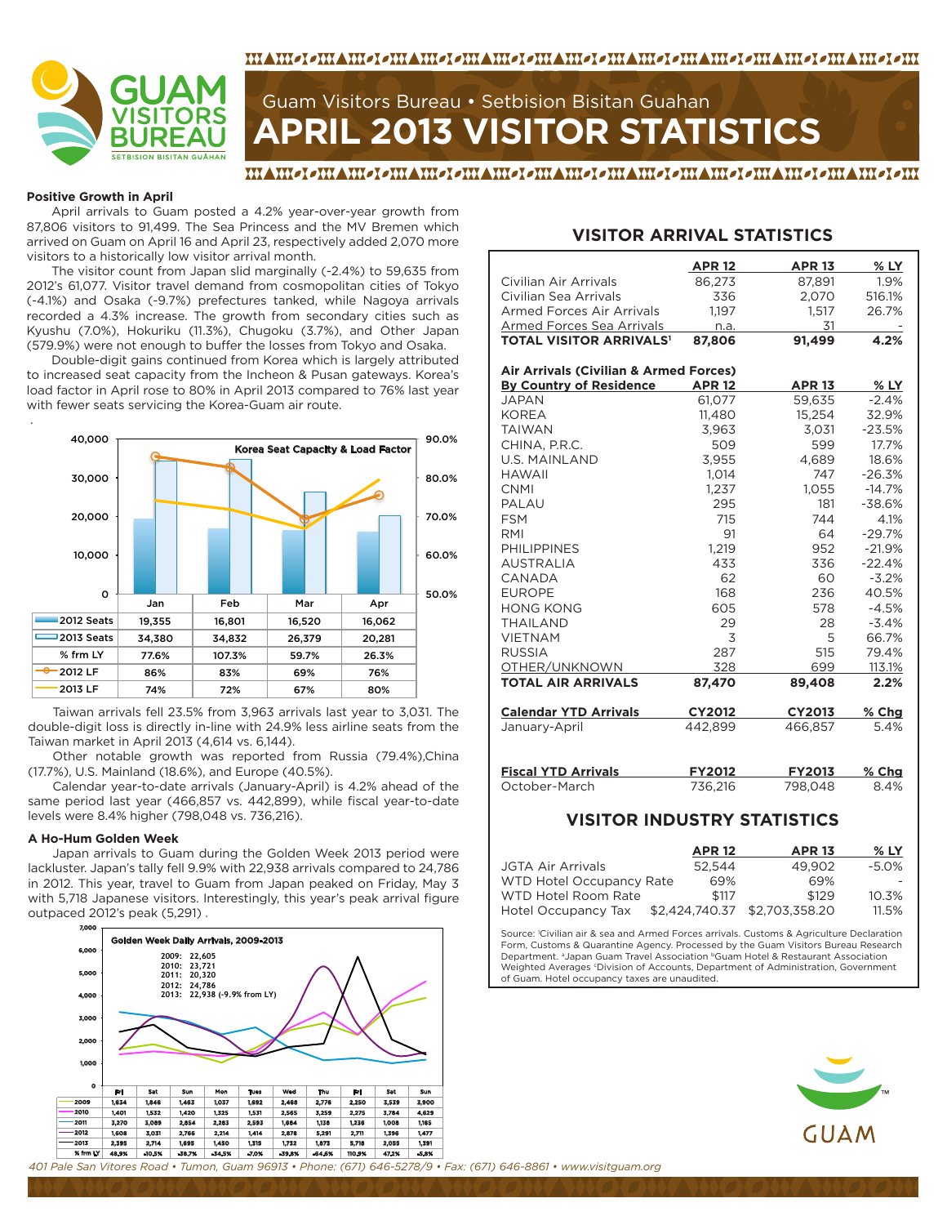

#### <u>MAMEIEMAMEIEMAMEIEMAMEIEMAMEIEMAMEIEMAMEIEMAMEIEMAMEIEMA</u>

# **APRIL 2013 VISITOR STATISTICS** Guam Visitors Bureau • Setbision Bisitan Guahan

#### <u>MAMEIEMAMEIEMAMEIEMAMEIEMAMEIEMAMEIEMAMEIEMAMEIEMAMEIEM</u>

#### **Positive Growth in April**

.

April arrivals to Guam posted a 4.2% year-over-year growth from 87,806 visitors to 91,499. The Sea Princess and the MV Bremen which arrived on Guam on April 16 and April 23, respectively added 2,070 more visitors to a historically low visitor arrival month.

The visitor count from Japan slid marginally (-2.4%) to 59,635 from 2012's 61,077. Visitor travel demand from cosmopolitan cities of Tokyo (-4.1%) and Osaka (-9.7%) prefectures tanked, while Nagoya arrivals recorded a 4.3% increase. The growth from secondary cities such as Kyushu (7.0%), Hokuriku (11.3%), Chugoku (3.7%), and Other Japan (579.9%) were not enough to buffer the losses from Tokyo and Osaka.

Double-digit gains continued from Korea which is largely attributed to increased seat capacity from the Incheon & Pusan gateways. Korea's load factor in April rose to 80% in April 2013 compared to 76% last year with fewer seats servicing the Korea-Guam air route.



Taiwan arrivals fell 23.5% from 3,963 arrivals last year to 3,031. The double-digit loss is directly in-line with 24.9% less airline seats from the Taiwan market in April 2013 (4,614 vs. 6,144).

Other notable growth was reported from Russia (79.4%),China (17.7%), U.S. Mainland (18.6%), and Europe (40.5%).

Calendar year-to-date arrivals (January-April) is 4.2% ahead of the same period last year (466,857 vs. 442,899), while fiscal year-to-date levels were 8.4% higher (798,048 vs. 736,216).

#### **A Ho-Hum Golden Week**

Japan arrivals to Guam during the Golden Week 2013 period were lackluster. Japan's tally fell 9.9% with 22,938 arrivals compared to 24,786 in 2012. This year, travel to Guam from Japan peaked on Friday, May 3 with 5,718 Japanese visitors. Interestingly, this year's peak arrival figure outpaced 2012's peak (5,291) .



#### **VISITOR ARRIVAL STATISTICS**

|                                           | <b>APR 12</b> | <b>APR 13</b> | $%$ LY   |
|-------------------------------------------|---------------|---------------|----------|
| Civilian Air Arrivals                     | 86,273        | 87,891        | 1.9%     |
| Civilian Sea Arrivals                     | 336           | 2.070         | 516.1%   |
| Armed Forces Air Arrivals                 | 1,197         | 1,517         | 26.7%    |
| <b>Armed Forces Sea Arrivals</b>          | n.a.          | 31            |          |
| <b>TOTAL VISITOR ARRIVALS<sup>1</sup></b> | 87,806        | 91.499        | 4.2%     |
|                                           |               |               |          |
| Air Arrivals (Civilian & Armed Forces)    |               |               |          |
| <b>By Country of Residence</b>            | <b>APR 12</b> | <b>APR 13</b> | $%$ LY   |
| <b>JAPAN</b>                              | 61.077        | 59.635        | $-2.4%$  |
| <b>KOREA</b>                              | 11,480        | 15,254        | 32.9%    |
| <b>TAIWAN</b>                             | 3.963         | 3.031         | $-23.5%$ |
| CHINA, P.R.C.                             | 509           | 599           | 17.7%    |
| <b>U.S. MAINLAND</b>                      | 3.955         | 4.689         | 18.6%    |
| <b>HAWAII</b>                             | 1.014         | 747           | $-26.3%$ |
| <b>CNMI</b>                               | 1,237         | 1,055         | $-14.7%$ |
| PALAU                                     | 295           | 181           | $-38.6%$ |
| <b>FSM</b>                                | 715           | 744           | 4.1%     |
| RMI                                       | 91            | 64            | $-29.7%$ |
| <b>PHILIPPINES</b>                        | 1.219         | 952           | $-21.9%$ |
| <b>AUSTRALIA</b>                          | 433           | 336           | $-22.4%$ |
| CANADA                                    | 62            | 60            | $-3.2%$  |
| <b>EUROPE</b>                             | 168           | 236           | 40.5%    |
| <b>HONG KONG</b>                          | 605           | 578           | $-4.5%$  |
| <b>THAILAND</b>                           | 29            | 28            | $-3.4%$  |
| <b>VIETNAM</b>                            | 3             | 5             | 66.7%    |
| <b>RUSSIA</b>                             | 287           | 515           | 79.4%    |
| OTHER/UNKNOWN                             | 328           | 699           | 113.1%   |
| <b>TOTAL AIR ARRIVALS</b>                 | 87,470        | 89,408        | 2.2%     |
| <b>Calendar YTD Arrivals</b>              | <b>CY2012</b> | <b>CY2013</b> | $%$ Chg  |
| January-April                             | 442.899       | 466,857       | 5.4%     |
| <b>Fiscal YTD Arrivals</b>                | <b>FY2012</b> | <b>FY2013</b> | % Chg    |
| October-March                             | 736.216       | 798.048       | 8.4%     |

#### **VISITOR INDUSTRY STATISTICS**

|                                 | <b>APR 12</b> | <b>APR 13</b>                 | $%$ LY   |
|---------------------------------|---------------|-------------------------------|----------|
| JGTA Air Arrivals               | 52.544        | 49.902                        | $-5.0\%$ |
| <b>WTD Hotel Occupancy Rate</b> | 69%           | 69%                           |          |
| WTD Hotel Room Rate             | \$117         | \$129                         | 10.3%    |
| Hotel Occupancy Tax             |               | \$2,424,740.37 \$2,703,358.20 | 11.5%    |

Source: 1 Civilian air & sea and Armed Forces arrivals. Customs & Agriculture Declaration Form, Customs & Quarantine Agency. Processed by the Guam Visitors Bureau Research Department. <sup>a</sup>Japan Guam Travel Association <sup>b</sup>Guam Hotel & Restaurant Association Weighted Averages *'Division of Accounts*, Department of Administration, Government of Guam. Hotel occupancy taxes are unaudited.



*401 Pale San Vitores Road • Tumon, Guam 96913 • Phone: (671) 646-5278/9 • Fax: (671) 646-8861 • www.visitguam.org*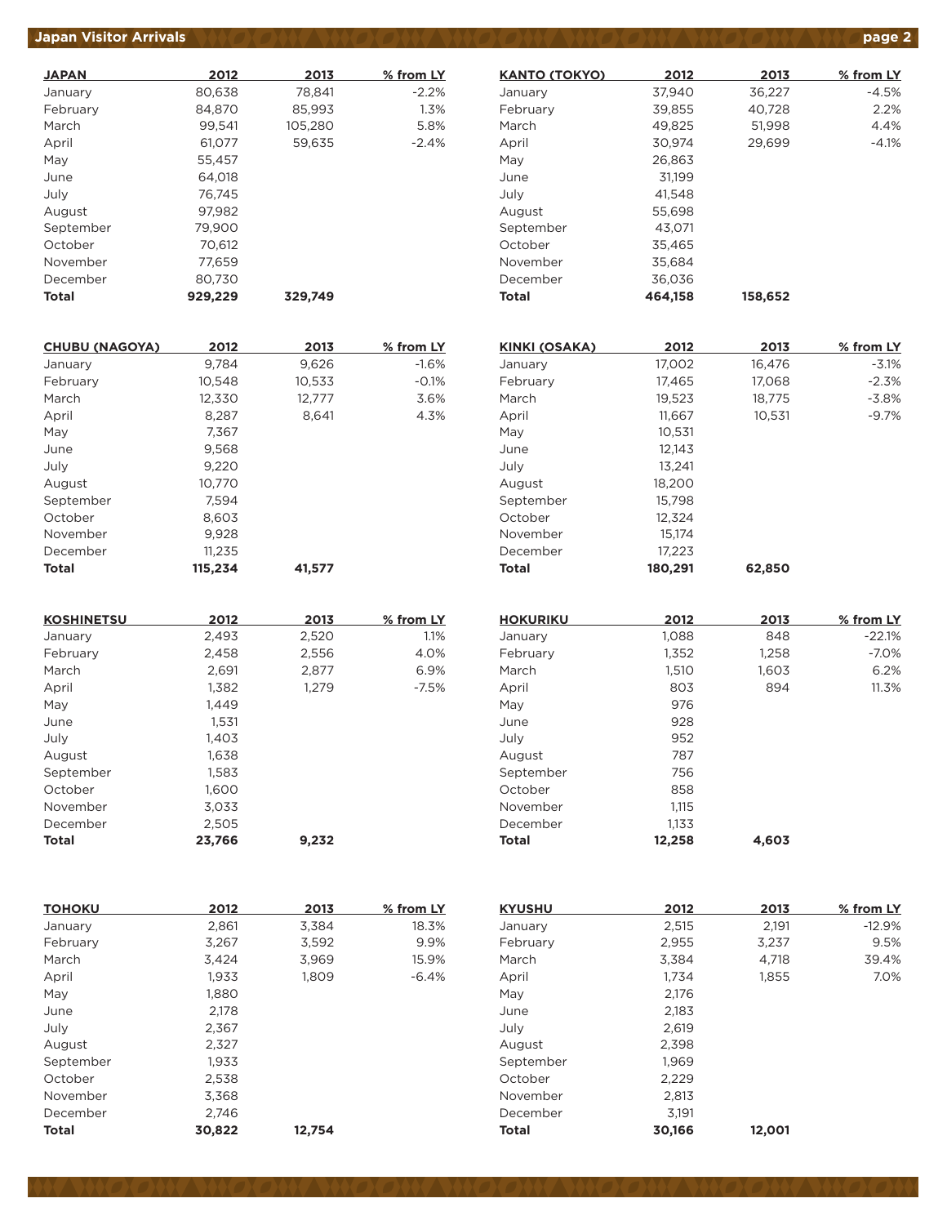## *Japan Visitor Arrivals*  $\vee$  *(*  $\circ$  *,*  $\circ$  *,*  $\circ$  *,*  $\circ$  *,*  $\circ$  *,*  $\circ$  *,*  $\circ$  *,*  $\circ$  *,*  $\circ$  *,*  $\circ$  *,*  $\circ$  *,*  $\circ$  *,*  $\circ$  *,*  $\circ$  *,*  $\circ$  *,*  $\circ$  *,*  $\circ$  *,*  $\circ$  *,*  $\circ$  *,*  $\circ$  *,*  $\circ$  *,*  $\circ$  *,*  $\circ$  *,*  $\circ$  *,*  $\circ$  *,*  $\circ$  *,*  $\circ$  *,*

| <b>JAPAN</b> | 2012    | 2013    | % from LY |
|--------------|---------|---------|-----------|
| January      | 80,638  | 78,841  | $-2.2%$   |
| February     | 84.870  | 85.993  | 1.3%      |
| March        | 99.541  | 105.280 | 5.8%      |
| April        | 61,077  | 59,635  | $-2.4%$   |
| May          | 55,457  |         |           |
| June         | 64.018  |         |           |
| July         | 76.745  |         |           |
| August       | 97,982  |         |           |
| September    | 79.900  |         |           |
| October      | 70.612  |         |           |
| November     | 77,659  |         |           |
| December     | 80,730  |         |           |
| Total        | 929.229 | 329.749 |           |

| <b>CHUBU (NAGOYA)</b> | 2012    | 2013   | % from LY |
|-----------------------|---------|--------|-----------|
| January               | 9,784   | 9,626  | $-1.6%$   |
| February              | 10,548  | 10,533 | $-0.1%$   |
| March                 | 12,330  | 12,777 | 3.6%      |
| April                 | 8,287   | 8,641  | 4.3%      |
| May                   | 7.367   |        |           |
| June                  | 9,568   |        |           |
| July                  | 9,220   |        |           |
| August                | 10.770  |        |           |
| September             | 7,594   |        |           |
| October               | 8,603   |        |           |
| November              | 9,928   |        |           |
| December              | 11,235  |        |           |
| <b>Total</b>          | 115.234 | 41.577 |           |

| <b>KOSHINETSU</b> | 2012   | 2013  | % from LY |
|-------------------|--------|-------|-----------|
| January           | 2,493  | 2,520 | 1.1%      |
| February          | 2,458  | 2,556 | 4.0%      |
| March             | 2.691  | 2.877 | 6.9%      |
| April             | 1,382  | 1,279 | $-7.5%$   |
| May               | 1,449  |       |           |
| June              | 1.531  |       |           |
| July              | 1.403  |       |           |
| August            | 1,638  |       |           |
| September         | 1,583  |       |           |
| October           | 1,600  |       |           |
| November          | 3,033  |       |           |
| December          | 2,505  |       |           |
| <b>Total</b>      | 23.766 | 9.232 |           |

| <b>TOHOKU</b> | 2012   | 2013   | % from LY |
|---------------|--------|--------|-----------|
| January       | 2,861  | 3,384  | 18.3%     |
| February      | 3,267  | 3,592  | 9.9%      |
| March         | 3,424  | 3,969  | 15.9%     |
| April         | 1,933  | 1,809  | $-6.4%$   |
| May           | 1,880  |        |           |
| June          | 2,178  |        |           |
| July          | 2,367  |        |           |
| August        | 2,327  |        |           |
| September     | 1,933  |        |           |
| October       | 2,538  |        |           |
| November      | 3,368  |        |           |
| December      | 2.746  |        |           |
| <b>Total</b>  | 30.822 | 12,754 |           |

| <b>KANTO (TOKYO)</b> | 2012    | 2013    | % from LY |
|----------------------|---------|---------|-----------|
| January              | 37.940  | 36.227  | -4.5%     |
| February             | 39,855  | 40,728  | 2.2%      |
| March                | 49,825  | 51,998  | 4.4%      |
| April                | 30,974  | 29,699  | $-4.1%$   |
| May                  | 26,863  |         |           |
| June                 | 31.199  |         |           |
| July                 | 41.548  |         |           |
| August               | 55.698  |         |           |
| September            | 43,071  |         |           |
| October              | 35,465  |         |           |
| November             | 35.684  |         |           |
| December             | 36,036  |         |           |
| Total                | 464,158 | 158,652 |           |

| <b>KINKI (OSAKA)</b> | 2012    | 2013   | % from LY |
|----------------------|---------|--------|-----------|
| January              | 17,002  | 16,476 | $-3.1%$   |
| February             | 17,465  | 17,068 | $-2.3%$   |
| March                | 19,523  | 18,775 | $-3.8%$   |
| April                | 11,667  | 10,531 | $-9.7%$   |
| May                  | 10,531  |        |           |
| June                 | 12.143  |        |           |
| July                 | 13.241  |        |           |
| August               | 18,200  |        |           |
| September            | 15,798  |        |           |
| October              | 12,324  |        |           |
| November             | 15.174  |        |           |
| December             | 17,223  |        |           |
| <b>Total</b>         | 180,291 | 62,850 |           |

| <b>HOKURIKU</b> | 2012   | 2013  | % from LY |
|-----------------|--------|-------|-----------|
| January         | 1,088  | 848   | $-22.1%$  |
| February        | 1,352  | 1,258 | $-7.0\%$  |
| March           | 1,510  | 1,603 | 6.2%      |
| April           | 803    | 894   | 11.3%     |
| May             | 976    |       |           |
| June            | 928    |       |           |
| July            | 952    |       |           |
| August          | 787    |       |           |
| September       | 756    |       |           |
| October         | 858    |       |           |
| November        | 1,115  |       |           |
| December        | 1,133  |       |           |
| <b>Total</b>    | 12,258 | 4.603 |           |

| <b>KYUSHU</b> | 2012   | 2013   | % from LY |
|---------------|--------|--------|-----------|
| January       | 2,515  | 2,191  | $-12.9%$  |
| February      | 2,955  | 3,237  | 9.5%      |
| March         | 3.384  | 4.718  | 39.4%     |
| April         | 1.734  | 1.855  | 7.0%      |
| May           | 2,176  |        |           |
| June          | 2.183  |        |           |
| July          | 2,619  |        |           |
| August        | 2,398  |        |           |
| September     | 1.969  |        |           |
| October       | 2,229  |        |           |
| November      | 2,813  |        |           |
| December      | 3,191  |        |           |
| Total         | 30,166 | 12,001 |           |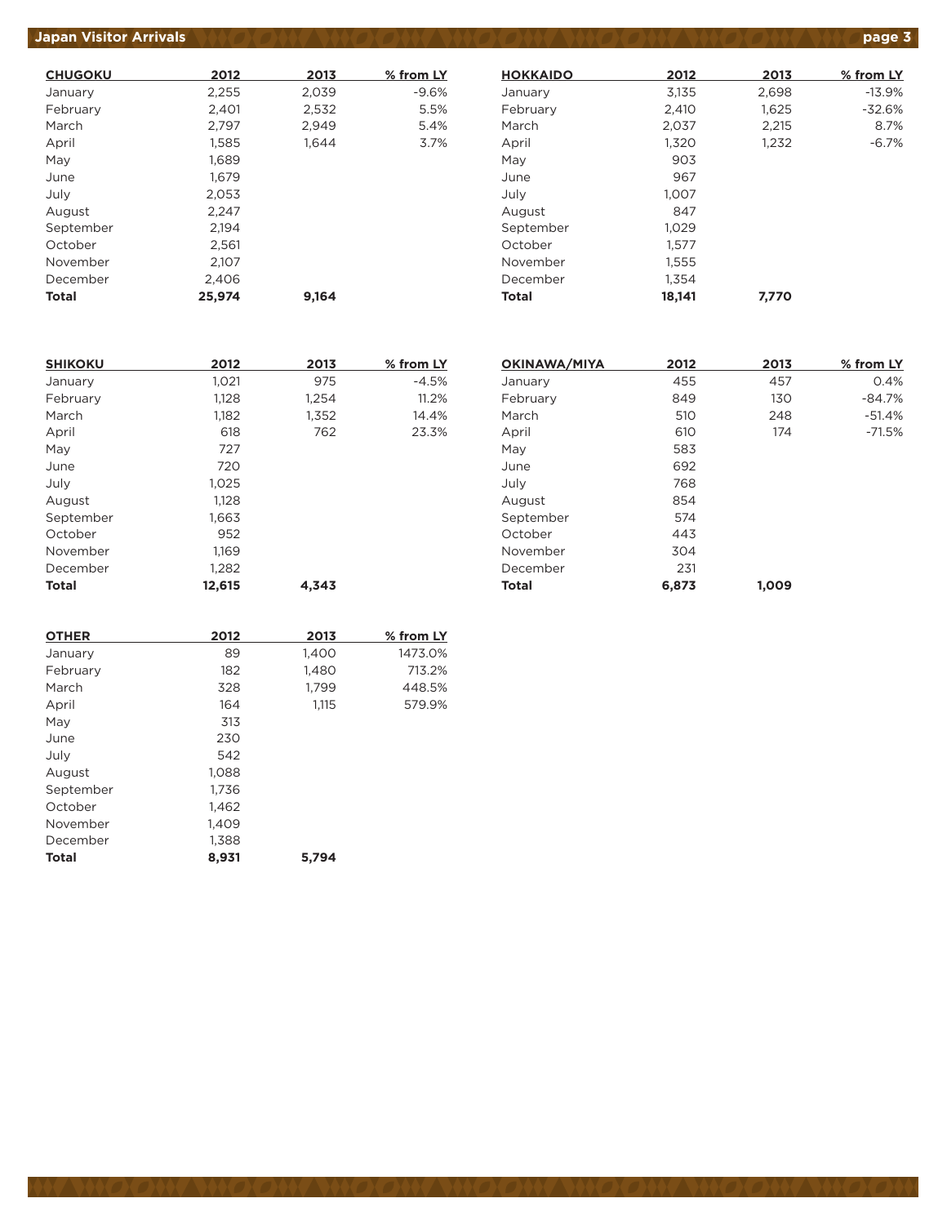#### *Japan Visitor Arrivals <b>page 3*

| <b>CHUGOKU</b> | 2012   | 2013  | % from LY |
|----------------|--------|-------|-----------|
| January        | 2,255  | 2,039 | $-9.6%$   |
| February       | 2,401  | 2,532 | 5.5%      |
| March          | 2,797  | 2.949 | 5.4%      |
| April          | 1,585  | 1.644 | 3.7%      |
| May            | 1,689  |       |           |
| June           | 1,679  |       |           |
| July           | 2,053  |       |           |
| August         | 2.247  |       |           |
| September      | 2,194  |       |           |
| October        | 2,561  |       |           |
| November       | 2,107  |       |           |
| December       | 2,406  |       |           |
| Total          | 25.974 | 9.164 |           |

| <b>HOKKAIDO</b> | 2012   | 2013  | % from LY |
|-----------------|--------|-------|-----------|
| January         | 3,135  | 2,698 | $-13.9%$  |
| February        | 2.410  | 1,625 | $-32.6%$  |
| March           | 2,037  | 2,215 | 8.7%      |
| April           | 1,320  | 1,232 | $-6.7%$   |
| May             | 903    |       |           |
| June            | 967    |       |           |
| July            | 1,007  |       |           |
| August          | 847    |       |           |
| September       | 1,029  |       |           |
| October         | 1.577  |       |           |
| November        | 1,555  |       |           |
| December        | 1.354  |       |           |
| Total           | 18,141 | 7,770 |           |

| <b>SHIKOKU</b> | 2012   | 2013  | % from LY |
|----------------|--------|-------|-----------|
| January        | 1,021  | 975   | $-4.5%$   |
| February       | 1,128  | 1,254 | 11.2%     |
| March          | 1,182  | 1,352 | 14.4%     |
| April          | 618    | 762   | 23.3%     |
| May            | 727    |       |           |
| June           | 720    |       |           |
| July           | 1,025  |       |           |
| August         | 1.128  |       |           |
| September      | 1,663  |       |           |
| October        | 952    |       |           |
| November       | 1,169  |       |           |
| December       | 1,282  |       |           |
| <b>Total</b>   | 12,615 | 4.343 |           |

| OKINAWA/MIYA | 2012  | 2013  | % from LY |
|--------------|-------|-------|-----------|
| January      | 455   | 457   | 0.4%      |
| February     | 849   | 130   | $-84.7%$  |
| March        | 510   | 248   | $-51.4%$  |
| April        | 610   | 174   | $-71.5%$  |
| May          | 583   |       |           |
| June         | 692   |       |           |
| July         | 768   |       |           |
| August       | 854   |       |           |
| September    | 574   |       |           |
| October      | 443   |       |           |
| November     | 304   |       |           |
| December     | 231   |       |           |
| <b>Total</b> | 6,873 | 1,009 |           |

| 2012  | 2013  | % from LY |
|-------|-------|-----------|
| 89    | 1,400 | 1473.0%   |
| 182   | 1,480 | 713.2%    |
| 328   | 1,799 | 448.5%    |
| 164   | 1,115 | 579.9%    |
| 313   |       |           |
| 230   |       |           |
| 542   |       |           |
| 1.088 |       |           |
| 1,736 |       |           |
| 1,462 |       |           |
| 1.409 |       |           |
| 1,388 |       |           |
| 8,931 | 5,794 |           |
|       |       |           |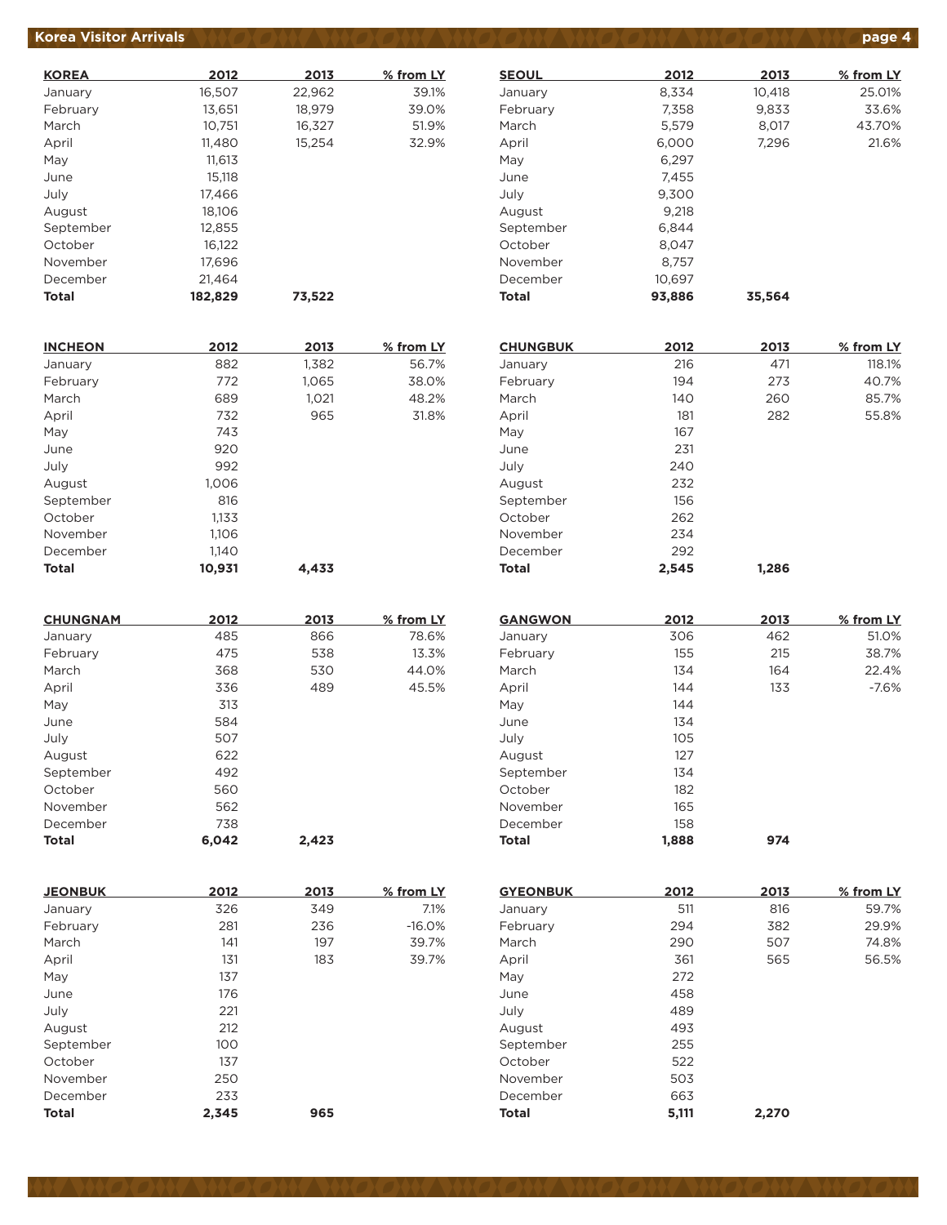## **Korea Visitor Arrivals product to the state of the state of the state of the state of the state of the state of the state of the state of the state of the state of the state of the state of the state of the state of the**

| <b>KOREA</b> | 2012    | 2013   | % from LY |
|--------------|---------|--------|-----------|
| January      | 16,507  | 22,962 | 39.1%     |
| February     | 13,651  | 18,979 | 39.0%     |
| March        | 10,751  | 16,327 | 51.9%     |
| April        | 11,480  | 15,254 | 32.9%     |
| May          | 11.613  |        |           |
| June         | 15.118  |        |           |
| July         | 17,466  |        |           |
| August       | 18,106  |        |           |
| September    | 12,855  |        |           |
| October      | 16,122  |        |           |
| November     | 17,696  |        |           |
| December     | 21,464  |        |           |
| Total        | 182.829 | 73,522 |           |

| <b>INCHEON</b> | 2012   | 2013  | % from LY |
|----------------|--------|-------|-----------|
| January        | 882    | 1,382 | 56.7%     |
| February       | 772    | 1,065 | 38.0%     |
| March          | 689    | 1,021 | 48.2%     |
| April          | 732    | 965   | 31.8%     |
| May            | 743    |       |           |
| June           | 920    |       |           |
| July           | 992    |       |           |
| August         | 1,006  |       |           |
| September      | 816    |       |           |
| October        | 1,133  |       |           |
| November       | 1,106  |       |           |
| December       | 1,140  |       |           |
| <b>Total</b>   | 10,931 | 4.433 |           |

| <b>CHUNGNAM</b> | 2012  | 2013  | % from LY |
|-----------------|-------|-------|-----------|
| January         | 485   | 866   | 78.6%     |
| February        | 475   | 538   | 13.3%     |
| March           | 368   | 530   | 44.0%     |
| April           | 336   | 489   | 45.5%     |
| May             | 313   |       |           |
| June            | 584   |       |           |
| July            | 507   |       |           |
| August          | 622   |       |           |
| September       | 492   |       |           |
| October         | 560   |       |           |
| November        | 562   |       |           |
| December        | 738   |       |           |
| <b>Total</b>    | 6.042 | 2,423 |           |

| <b>JEONBUK</b> | 2012  | 2013 | % from LY |
|----------------|-------|------|-----------|
| January        | 326   | 349  | 7.1%      |
| February       | 281   | 236  | $-16.0%$  |
| March          | 141   | 197  | 39.7%     |
| April          | 131   | 183  | 39.7%     |
| May            | 137   |      |           |
| June           | 176   |      |           |
| July           | 221   |      |           |
| August         | 212   |      |           |
| September      | 100   |      |           |
| October        | 137   |      |           |
| November       | 250   |      |           |
| December       | 233   |      |           |
| <b>Total</b>   | 2,345 | 965  |           |

| <b>SEOUL</b> | 2012   | 2013   | % from LY |
|--------------|--------|--------|-----------|
| January      | 8,334  | 10,418 | 25.01%    |
| February     | 7,358  | 9,833  | 33.6%     |
| March        | 5,579  | 8.017  | 43.70%    |
| April        | 6,000  | 7,296  | 21.6%     |
| May          | 6,297  |        |           |
| June         | 7.455  |        |           |
| July         | 9,300  |        |           |
| August       | 9,218  |        |           |
| September    | 6,844  |        |           |
| October      | 8.047  |        |           |
| November     | 8.757  |        |           |
| December     | 10,697 |        |           |
| <b>Total</b> | 93.886 | 35.564 |           |

| <b>CHUNGBUK</b> | 2012  | 2013  | % from LY |
|-----------------|-------|-------|-----------|
| January         | 216   | 471   | 118.1%    |
| February        | 194   | 273   | 40.7%     |
| March           | 140   | 260   | 85.7%     |
| April           | 181   | 282   | 55.8%     |
| May             | 167   |       |           |
| June            | 231   |       |           |
| July            | 240   |       |           |
| August          | 232   |       |           |
| September       | 156   |       |           |
| October         | 262   |       |           |
| November        | 234   |       |           |
| December        | 292   |       |           |
| <b>Total</b>    | 2,545 | 1,286 |           |

| <b>GANGWON</b> | 2012  | 2013 | % from LY |
|----------------|-------|------|-----------|
| January        | 306   | 462  | 51.0%     |
| February       | 155   | 215  | 38.7%     |
| March          | 134   | 164  | 22.4%     |
| April          | 144   | 133  | $-7.6%$   |
| May            | 144   |      |           |
| June           | 134   |      |           |
| July           | 105   |      |           |
| August         | 127   |      |           |
| September      | 134   |      |           |
| October        | 182   |      |           |
| November       | 165   |      |           |
| December       | 158   |      |           |
| <b>Total</b>   | 1.888 | 974  |           |

| <b>GYEONBUK</b> | 2012  | 2013  | % from LY |
|-----------------|-------|-------|-----------|
| January         | 511   | 816   | 59.7%     |
| February        | 294   | 382   | 29.9%     |
| March           | 290   | 507   | 74.8%     |
| April           | 361   | 565   | 56.5%     |
| May             | 272   |       |           |
| June            | 458   |       |           |
| July            | 489   |       |           |
| August          | 493   |       |           |
| September       | 255   |       |           |
| October         | 522   |       |           |
| November        | 503   |       |           |
| December        | 663   |       |           |
| <b>Total</b>    | 5,111 | 2,270 |           |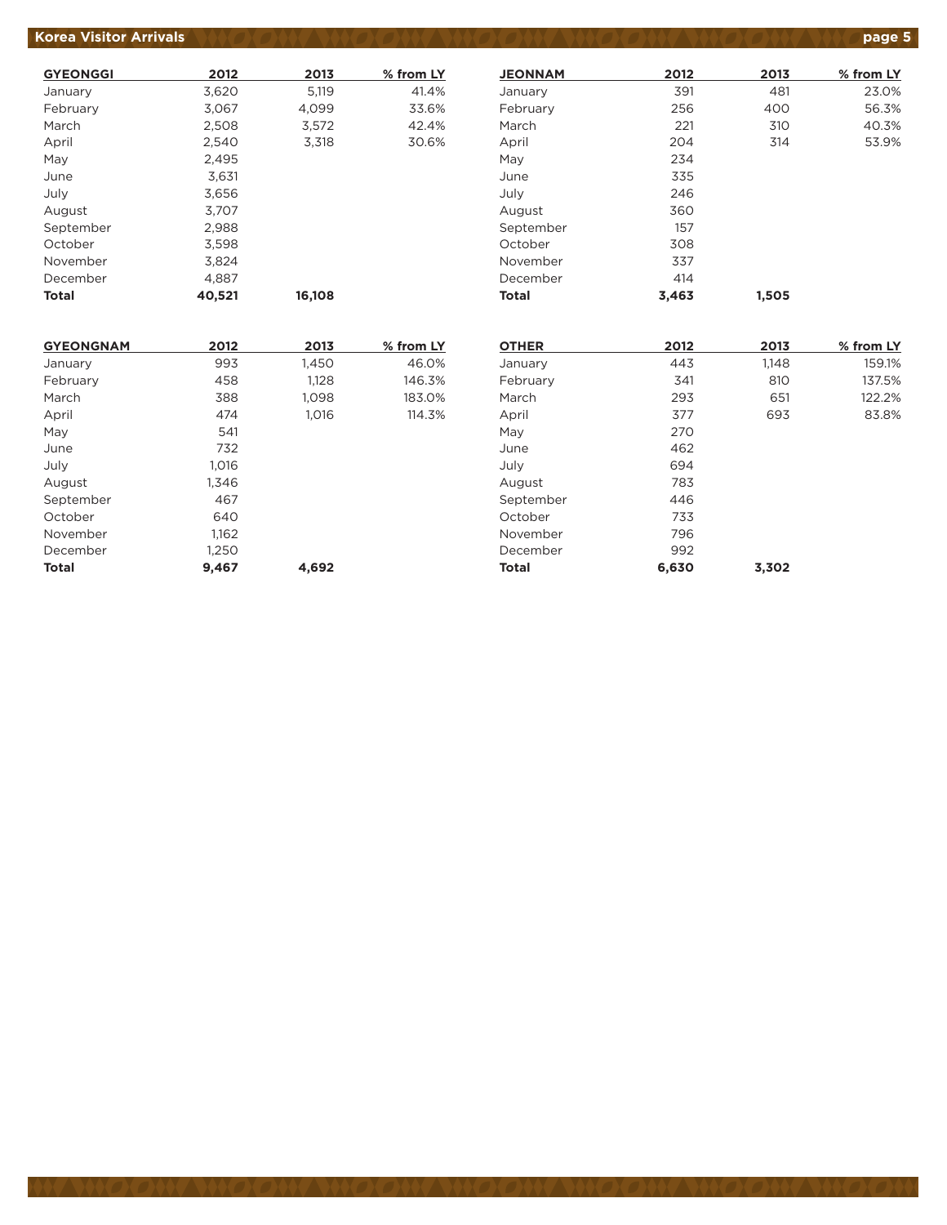#### **Korea Visitor Arrivals product to the state of the Second ANT WAS CONVENTED AND CONVENTING page 5**

| <b>GYEONGGI</b> | 2012   | 2013   | % from LY |
|-----------------|--------|--------|-----------|
| January         | 3,620  | 5,119  | 41.4%     |
| February        | 3,067  | 4,099  | 33.6%     |
| March           | 2,508  | 3,572  | 42.4%     |
| April           | 2,540  | 3,318  | 30.6%     |
| May             | 2.495  |        |           |
| June            | 3,631  |        |           |
| July            | 3,656  |        |           |
| August          | 3.707  |        |           |
| September       | 2,988  |        |           |
| October         | 3,598  |        |           |
| November        | 3.824  |        |           |
| December        | 4,887  |        |           |
| Total           | 40,521 | 16,108 |           |

| <b>JEONNAM</b> | 2012  | 2013  | % from LY |
|----------------|-------|-------|-----------|
| January        | 391   | 481   | 23.0%     |
| February       | 256   | 400   | 56.3%     |
| March          | 221   | 310   | 40.3%     |
| April          | 204   | 314   | 53.9%     |
| May            | 234   |       |           |
| June           | 335   |       |           |
| July           | 246   |       |           |
| August         | 360   |       |           |
| September      | 157   |       |           |
| October        | 308   |       |           |
| November       | 337   |       |           |
| December       | 414   |       |           |
| Total          | 3,463 | 1,505 |           |

| <b>GYEONGNAM</b> | 2012  | 2013  | % from LY |
|------------------|-------|-------|-----------|
| January          | 993   | 1,450 | 46.0%     |
| February         | 458   | 1,128 | 146.3%    |
| March            | 388   | 1,098 | 183.0%    |
| April            | 474   | 1,016 | 114.3%    |
| May              | 541   |       |           |
| June             | 732   |       |           |
| July             | 1.016 |       |           |
| August           | 1,346 |       |           |
| September        | 467   |       |           |
| October          | 640   |       |           |
| November         | 1,162 |       |           |
| December         | 1,250 |       |           |
| <b>Total</b>     | 9.467 | 4,692 |           |

| <b>OTHER</b> | 2012  | 2013  | % from LY |
|--------------|-------|-------|-----------|
| January      | 443   | 1,148 | 159.1%    |
| February     | 341   | 810   | 137.5%    |
| March        | 293   | 651   | 122.2%    |
| April        | 377   | 693   | 83.8%     |
| May          | 270   |       |           |
| June         | 462   |       |           |
| July         | 694   |       |           |
| August       | 783   |       |           |
| September    | 446   |       |           |
| October      | 733   |       |           |
| November     | 796   |       |           |
| December     | 992   |       |           |
| <b>Total</b> | 6,630 | 3,302 |           |
|              |       |       |           |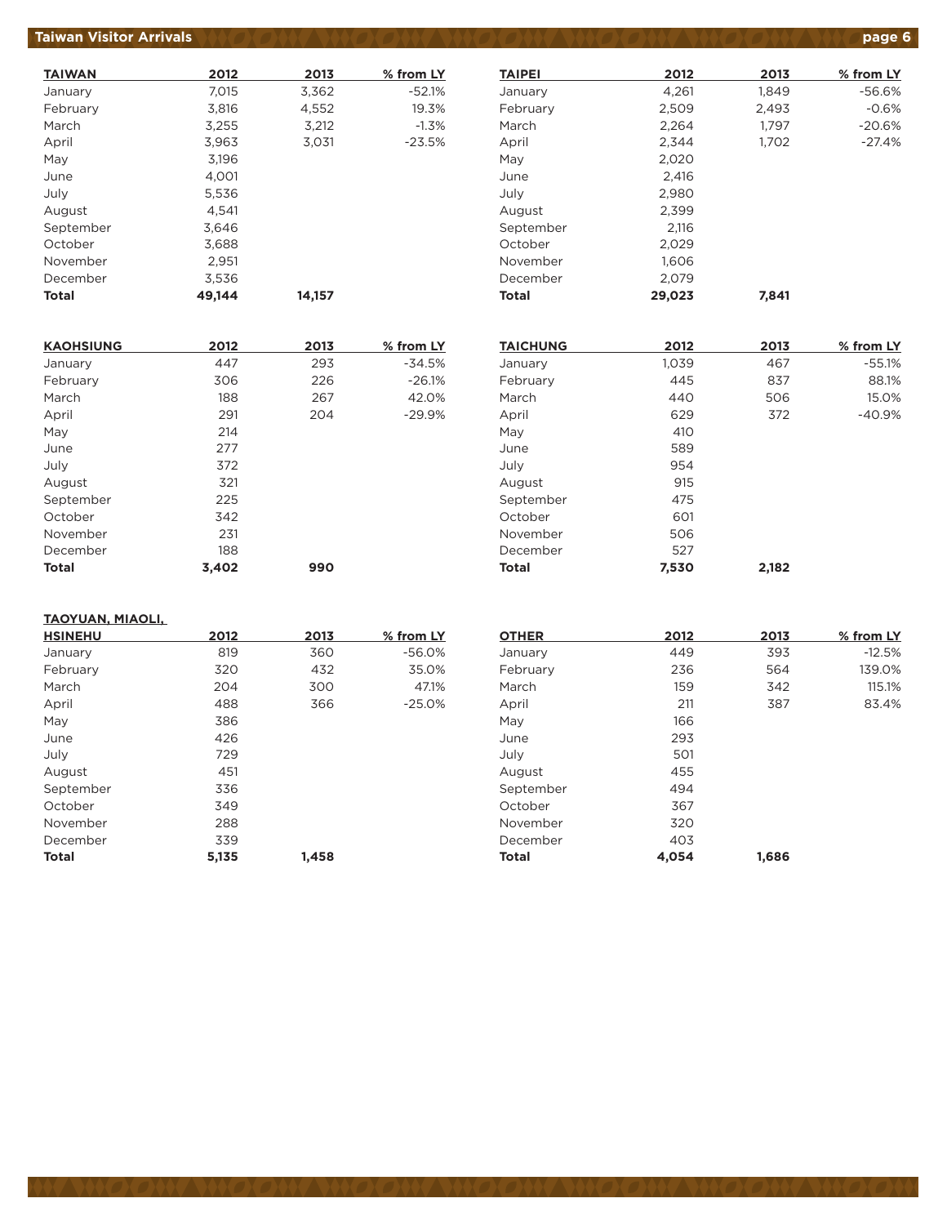#### **Taiwan Visitor Arrivals (A) CANY WAO ON YWO ON YWO ON YWO ON YWO ON YWO page 6**

| <b>TAIWAN</b> | 2012   | 2013   | % from LY |
|---------------|--------|--------|-----------|
| January       | 7,015  | 3,362  | $-52.1%$  |
| February      | 3,816  | 4,552  | 19.3%     |
| March         | 3,255  | 3,212  | $-1.3%$   |
| April         | 3,963  | 3,031  | $-23.5%$  |
| May           | 3,196  |        |           |
| June          | 4.001  |        |           |
| July          | 5,536  |        |           |
| August        | 4.541  |        |           |
| September     | 3.646  |        |           |
| October       | 3,688  |        |           |
| November      | 2,951  |        |           |
| December      | 3,536  |        |           |
| <b>Total</b>  | 49,144 | 14,157 |           |

| <b>KAOHSIUNG</b> | 2012  | 2013 | % from LY |
|------------------|-------|------|-----------|
| January          | 447   | 293  | $-34.5%$  |
| February         | 306   | 226  | $-26.1%$  |
| March            | 188   | 267  | 42.0%     |
| April            | 291   | 204  | $-29.9%$  |
| May              | 214   |      |           |
| June             | 277   |      |           |
| July             | 372   |      |           |
| August           | 321   |      |           |
| September        | 225   |      |           |
| October          | 342   |      |           |
| November         | 231   |      |           |
| December         | 188   |      |           |
| <b>Total</b>     | 3.402 | 990  |           |

#### **TAIPEI 2012 2013 % from LY** January 1,261 1,849 -56.6% February 2,509 2,493 -0.6% March 2,264 1,797 -20.6% April 2,344 1,702 -27.4% May 2,020 June 2,416 July 2,980 August 2,399 September 2,116 October 2,029 November 1,606 December 2,079 **Total 29,023 7,841**

| <b>TAICHUNG</b> | 2012  | 2013  | % from LY |
|-----------------|-------|-------|-----------|
| January         | 1,039 | 467   | $-55.1%$  |
| February        | 445   | 837   | 88.1%     |
| March           | 440   | 506   | 15.0%     |
| April           | 629   | 372   | $-40.9%$  |
| May             | 410   |       |           |
| June            | 589   |       |           |
| July            | 954   |       |           |
| August          | 915   |       |           |
| September       | 475   |       |           |
| October         | 601   |       |           |
| November        | 506   |       |           |
| December        | 527   |       |           |
| <b>Total</b>    | 7,530 | 2,182 |           |

#### **TAOYUAN, MIAOLI,**

| <b>HSINEHU</b> | 2012  | 2013  | % from LY |
|----------------|-------|-------|-----------|
| January        | 819   | 360   | $-56.0%$  |
| February       | 320   | 432   | 35.0%     |
| March          | 204   | 300   | 47.1%     |
| April          | 488   | 366   | $-25.0%$  |
| May            | 386   |       |           |
| June           | 426   |       |           |
| July           | 729   |       |           |
| August         | 451   |       |           |
| September      | 336   |       |           |
| October        | 349   |       |           |
| November       | 288   |       |           |
| December       | 339   |       |           |
| Total          | 5,135 | 1,458 |           |

|       |       | $%$ from LY |
|-------|-------|-------------|
| 449   | 393   | $-12.5%$    |
| 236   | 564   | 139.0%      |
| 159   | 342   | 115.1%      |
| 211   | 387   | 83.4%       |
| 166   |       |             |
| 293   |       |             |
| 501   |       |             |
| 455   |       |             |
| 494   |       |             |
| 367   |       |             |
| 320   |       |             |
| 403   |       |             |
| 4.054 | 1.686 |             |
|       | 2012  | 2013        |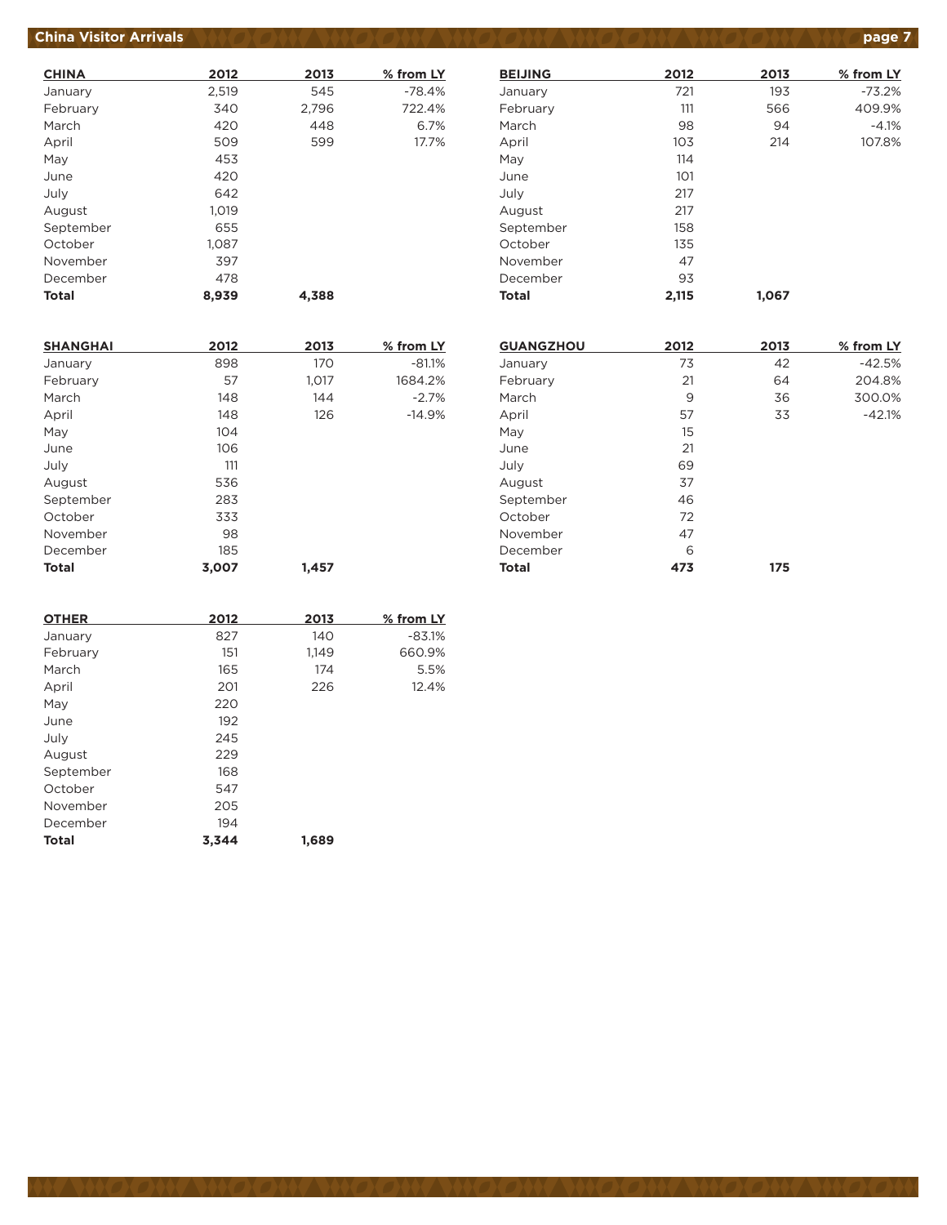## **China Visitor Arrivals product to the state of the CANA AND CANA AND CANA AND CANA AND <b>page 7**

| <b>CHINA</b> | 2012  | 2013  | % from LY |
|--------------|-------|-------|-----------|
| January      | 2,519 | 545   | $-78.4%$  |
| February     | 340   | 2,796 | 722.4%    |
| March        | 420   | 448   | 6.7%      |
| April        | 509   | 599   | 17.7%     |
| May          | 453   |       |           |
| June         | 420   |       |           |
| July         | 642   |       |           |
| August       | 1.019 |       |           |
| September    | 655   |       |           |
| October      | 1,087 |       |           |
| November     | 397   |       |           |
| December     | 478   |       |           |
| <b>Total</b> | 8.939 | 4.388 |           |

| <b>BEIJING</b> | 2012  | 2013  | % from LY |
|----------------|-------|-------|-----------|
| January        | 721   | 193   | $-73.2%$  |
| February       | 111   | 566   | 409.9%    |
| March          | 98    | 94    | $-4.1%$   |
| April          | 103   | 214   | 107.8%    |
| May            | 114   |       |           |
| June           | 101   |       |           |
| July           | 217   |       |           |
| August         | 217   |       |           |
| September      | 158   |       |           |
| October        | 135   |       |           |
| November       | 47    |       |           |
| December       | 93    |       |           |
| <b>Total</b>   | 2,115 | 1,067 |           |
|                |       |       |           |

| <b>SHANGHAI</b> | 2012  | 2013  | % from LY |
|-----------------|-------|-------|-----------|
| January         | 898   | 170   | $-81.1%$  |
| February        | 57    | 1,017 | 1684.2%   |
| March           | 148   | 144   | $-2.7%$   |
| April           | 148   | 126   | $-14.9%$  |
| May             | 104   |       |           |
| June            | 106   |       |           |
| July            | 111   |       |           |
| August          | 536   |       |           |
| September       | 283   |       |           |
| October         | 333   |       |           |
| November        | 98    |       |           |
| December        | 185   |       |           |
| <b>Total</b>    | 3,007 | 1,457 |           |

| <b>OTHER</b> | 2012  | 2013  | % from LY |
|--------------|-------|-------|-----------|
| January      | 827   | 140   | $-83.1%$  |
| February     | 151   | 1,149 | 660.9%    |
| March        | 165   | 174   | 5.5%      |
| April        | 201   | 226   | 12.4%     |
| May          | 220   |       |           |
| June         | 192   |       |           |
| July         | 245   |       |           |
| August       | 229   |       |           |
| September    | 168   |       |           |
| October      | 547   |       |           |
| November     | 205   |       |           |
| December     | 194   |       |           |
| <b>Total</b> | 3.344 | 1.689 |           |

| <b>GUANGZHOU</b> | 2012 | 2013 | % from LY |
|------------------|------|------|-----------|
| January          | 73   | 42   | $-42.5%$  |
| February         | 21   | 64   | 204.8%    |
| March            | 9    | 36   | 300.0%    |
| April            | 57   | 33   | $-42.1%$  |
| May              | 15   |      |           |
| June             | 21   |      |           |
| July             | 69   |      |           |
| August           | 37   |      |           |
| September        | 46   |      |           |
| October          | 72   |      |           |
| November         | 47   |      |           |
| December         | 6    |      |           |
| <b>Total</b>     | 473  | 175  |           |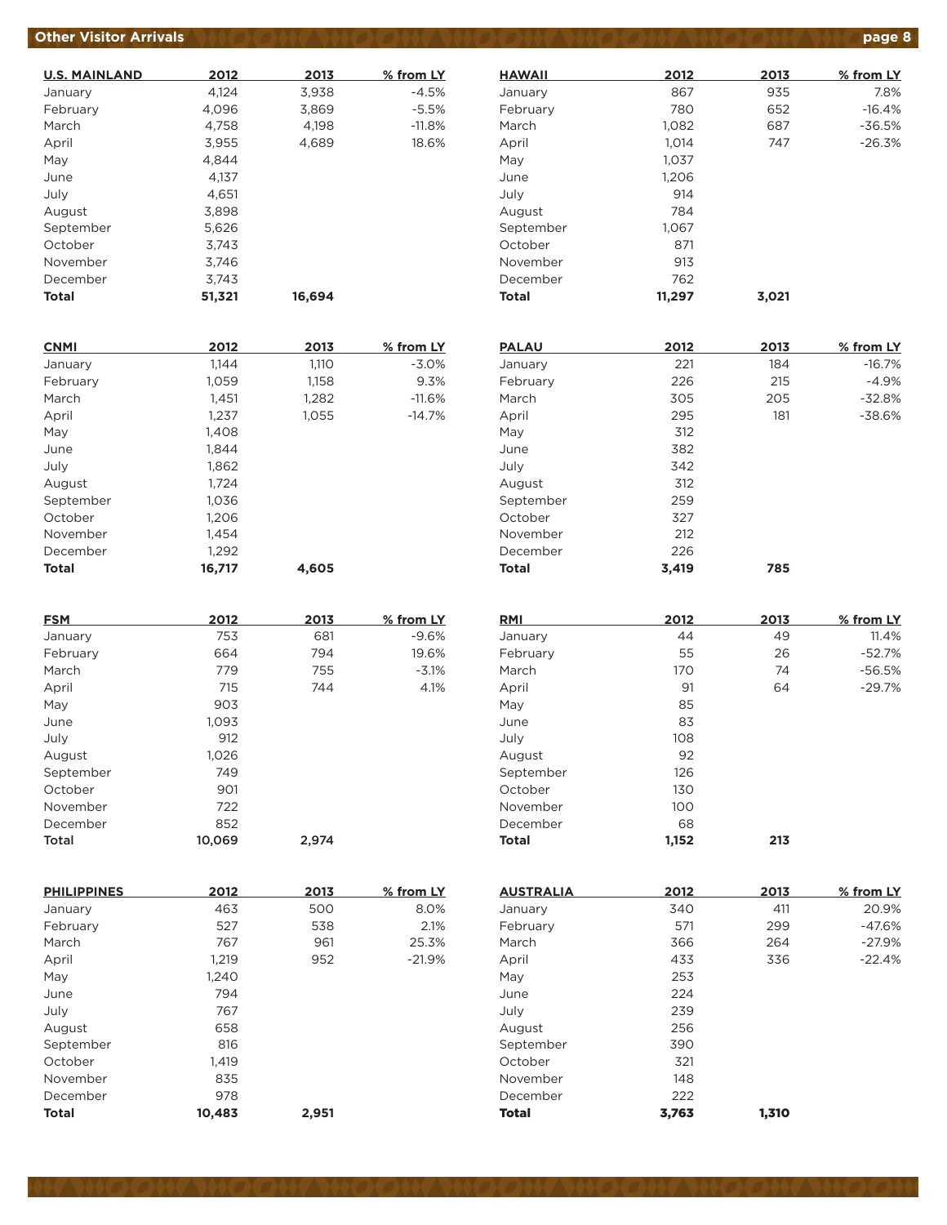## **Other Visitor Arrivals** *AND ON AND ON ON AND ON AND ON AND ON AND ON AND ON AND Page 8*

| <b>U.S. MAINLAND</b> | 2012   | 2013   | % from LY |
|----------------------|--------|--------|-----------|
| January              | 4,124  | 3,938  | $-4.5%$   |
| February             | 4,096  | 3,869  | $-5.5%$   |
| March                | 4.758  | 4.198  | $-11.8%$  |
| April                | 3,955  | 4,689  | 18.6%     |
| May                  | 4.844  |        |           |
| June                 | 4.137  |        |           |
| July                 | 4,651  |        |           |
| August               | 3,898  |        |           |
| September            | 5,626  |        |           |
| October              | 3.743  |        |           |
| November             | 3.746  |        |           |
| December             | 3.743  |        |           |
| Total                | 51,321 | 16.694 |           |

| <b>CNMI</b>  | 2012   | 2013  | % from LY |
|--------------|--------|-------|-----------|
| January      | 1,144  | 1,110 | $-3.0%$   |
| February     | 1,059  | 1,158 | 9.3%      |
| March        | 1,451  | 1,282 | $-11.6%$  |
| April        | 1,237  | 1,055 | $-14.7%$  |
| May          | 1.408  |       |           |
| June         | 1,844  |       |           |
| July         | 1,862  |       |           |
| August       | 1,724  |       |           |
| September    | 1,036  |       |           |
| October      | 1,206  |       |           |
| November     | 1,454  |       |           |
| December     | 1,292  |       |           |
| <b>Total</b> | 16,717 | 4,605 |           |

| <b>FSM</b> | 2012   | 2013  | % from LY |
|------------|--------|-------|-----------|
| January    | 753    | 681   | $-9.6%$   |
| February   | 664    | 794   | 19.6%     |
| March      | 779    | 755   | $-3.1%$   |
| April      | 715    | 744   | 4.1%      |
| May        | 903    |       |           |
| June       | 1.093  |       |           |
| July       | 912    |       |           |
| August     | 1,026  |       |           |
| September  | 749    |       |           |
| October    | 901    |       |           |
| November   | 722    |       |           |
| December   | 852    |       |           |
| Total      | 10.069 | 2,974 |           |

| <b>PHILIPPINES</b> | 2012   | 2013  | % from LY |
|--------------------|--------|-------|-----------|
| January            | 463    | 500   | 8.0%      |
| February           | 527    | 538   | 2.1%      |
| March              | 767    | 961   | 25.3%     |
| April              | 1,219  | 952   | $-21.9%$  |
| May                | 1,240  |       |           |
| June               | 794    |       |           |
| July               | 767    |       |           |
| August             | 658    |       |           |
| September          | 816    |       |           |
| October            | 1.419  |       |           |
| November           | 835    |       |           |
| December           | 978    |       |           |
| <b>Total</b>       | 10,483 | 2,951 |           |

| <b>HAWAII</b> | 2012   | 2013  | % from LY |
|---------------|--------|-------|-----------|
| January       | 867    | 935   | 7.8%      |
| February      | 780    | 652   | $-16.4%$  |
| March         | 1,082  | 687   | $-36.5%$  |
| April         | 1.014  | 747   | $-26.3%$  |
| May           | 1,037  |       |           |
| June          | 1,206  |       |           |
| July          | 914    |       |           |
| August        | 784    |       |           |
| September     | 1.067  |       |           |
| October       | 871    |       |           |
| November      | 913    |       |           |
| December      | 762    |       |           |
| <b>Total</b>  | 11,297 | 3,021 |           |

| <b>PALAU</b> | 2012  | 2013 | % from LY |
|--------------|-------|------|-----------|
| January      | 221   | 184  | $-16.7%$  |
| February     | 226   | 215  | $-4.9%$   |
| March        | 305   | 205  | $-32.8%$  |
| April        | 295   | 181  | $-38.6%$  |
| May          | 312   |      |           |
| June         | 382   |      |           |
| July         | 342   |      |           |
| August       | 312   |      |           |
| September    | 259   |      |           |
| October      | 327   |      |           |
| November     | 212   |      |           |
| December     | 226   |      |           |
| <b>Total</b> | 3.419 | 785  |           |

| <b>RMI</b>   | 2012  | 2013 | % from LY |
|--------------|-------|------|-----------|
| January      | 44    | 49   | 11.4%     |
| February     | 55    | 26   | $-52.7%$  |
| March        | 170   | 74   | $-56.5%$  |
| April        | 91    | 64   | $-29.7%$  |
| May          | 85    |      |           |
| June         | 83    |      |           |
| July         | 108   |      |           |
| August       | 92    |      |           |
| September    | 126   |      |           |
| October      | 130   |      |           |
| November     | 100   |      |           |
| December     | 68    |      |           |
| <b>Total</b> | 1,152 | 213  |           |

| <b>AUSTRALIA</b> | 2012  | 2013  | % from LY |
|------------------|-------|-------|-----------|
| January          | 340   | 411   | 20.9%     |
| February         | 571   | 299   | $-47.6%$  |
| March            | 366   | 264   | $-27.9%$  |
| April            | 433   | 336   | $-22.4%$  |
| May              | 253   |       |           |
| June             | 224   |       |           |
| July             | 239   |       |           |
| August           | 256   |       |           |
| September        | 390   |       |           |
| October          | 321   |       |           |
| November         | 148   |       |           |
| December         | 222   |       |           |
| <b>Total</b>     | 3.763 | 1.310 |           |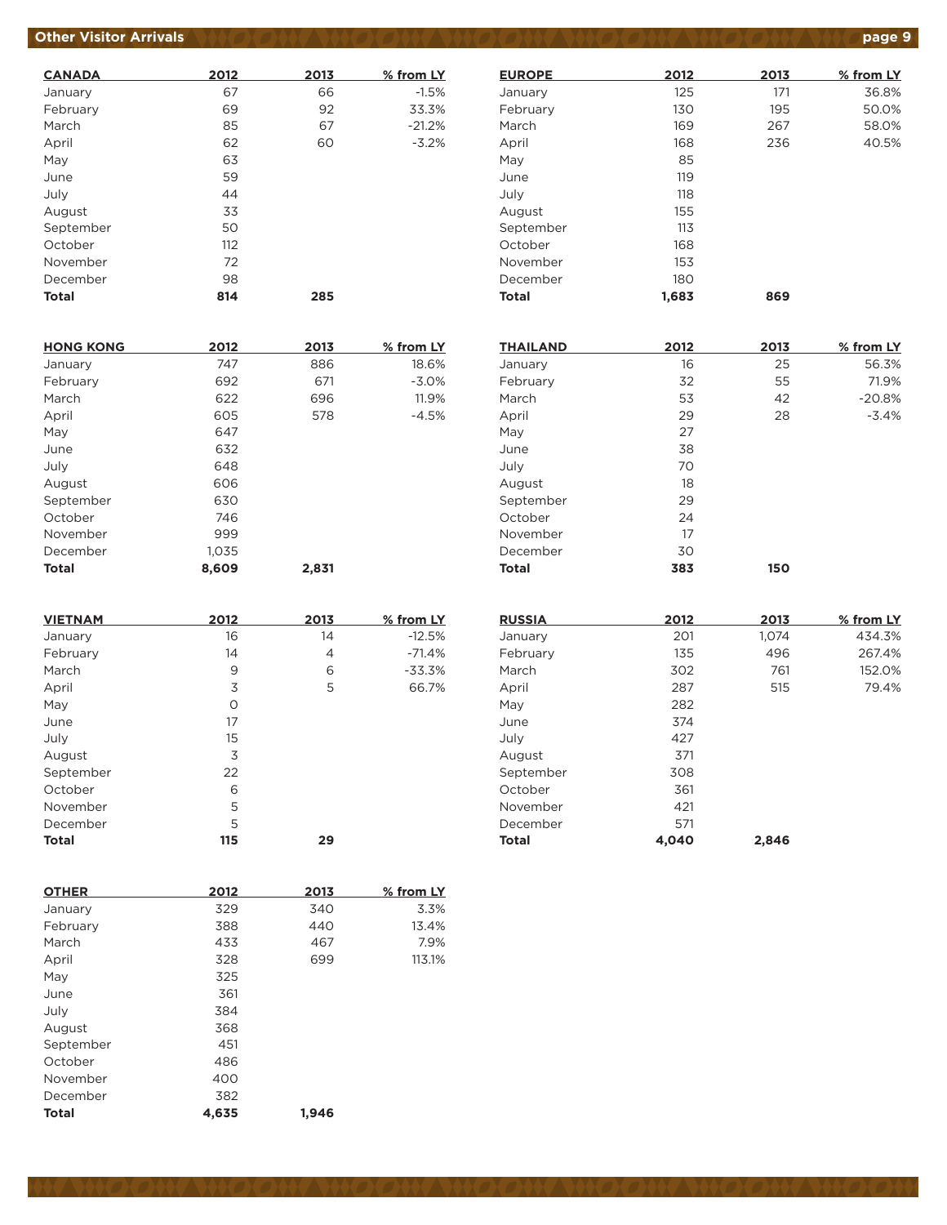## **Other Visitor Arrivals**

| <b>CANADA</b> | 2012 | 2013 | % from LY |
|---------------|------|------|-----------|
| January       | 67   | 66   | $-1.5%$   |
| February      | 69   | 92   | 33.3%     |
| March         | 85   | 67   | $-21.2%$  |
| April         | 62   | 60   | $-3.2%$   |
| May           | 63   |      |           |
| June          | 59   |      |           |
| July          | 44   |      |           |
| August        | 33   |      |           |
| September     | 50   |      |           |
| October       | 112  |      |           |
| November      | 72   |      |           |
| December      | 98   |      |           |
| <b>Total</b>  | 814  | 285  |           |

| <b>HONG KONG</b> | 2012  | 2013  | % from LY |
|------------------|-------|-------|-----------|
| January          | 747   | 886   | 18.6%     |
| February         | 692   | 671   | $-3.0%$   |
| March            | 622   | 696   | 11.9%     |
| April            | 605   | 578   | $-4.5%$   |
| May              | 647   |       |           |
| June             | 632   |       |           |
| July             | 648   |       |           |
| August           | 606   |       |           |
| September        | 630   |       |           |
| October          | 746   |       |           |
| November         | 999   |       |           |
| December         | 1,035 |       |           |
| <b>Total</b>     | 8.609 | 2.831 |           |

| <b>VIETNAM</b> | 2012 | 2013 | % from LY |
|----------------|------|------|-----------|
| January        | 16   | 14   | $-12.5%$  |
| February       | 14   | 4    | $-71.4%$  |
| March          | 9    | 6    | $-33.3%$  |
| April          | 3    | 5    | 66.7%     |
| May            | O    |      |           |
| June           | 17   |      |           |
| July           | 15   |      |           |
| August         | 3    |      |           |
| September      | 22   |      |           |
| October        | 6    |      |           |
| November       | 5    |      |           |
| December       | 5    |      |           |
| <b>Total</b>   | 115  | 29   |           |

| <b>OTHER</b> | 2012  | 2013  | % from LY |
|--------------|-------|-------|-----------|
| January      | 329   | 340   | 3.3%      |
| February     | 388   | 440   | 13.4%     |
| March        | 433   | 467   | 7.9%      |
| April        | 328   | 699   | 113.1%    |
| May          | 325   |       |           |
| June         | 361   |       |           |
| July         | 384   |       |           |
| August       | 368   |       |           |
| September    | 451   |       |           |
| October      | 486   |       |           |
| November     | 400   |       |           |
| December     | 382   |       |           |
| <b>Total</b> | 4,635 | 1.946 |           |

| <b>EUROPE</b> | 2012  | 2013 | % from LY |
|---------------|-------|------|-----------|
| January       | 125   | 171  | 36.8%     |
| February      | 130   | 195  | 50.0%     |
| March         | 169   | 267  | 58.0%     |
| April         | 168   | 236  | 40.5%     |
| May           | 85    |      |           |
| June          | 119   |      |           |
| July          | 118   |      |           |
| August        | 155   |      |           |
| September     | 113   |      |           |
| October       | 168   |      |           |
| November      | 153   |      |           |
| December      | 180   |      |           |
| <b>Total</b>  | 1,683 | 869  |           |

| <b>THAILAND</b> | 2012 | 2013 | % from LY |
|-----------------|------|------|-----------|
| January         | 16   | 25   | 56.3%     |
| February        | 32   | 55   | 71.9%     |
| March           | 53   | 42   | $-20.8%$  |
| April           | 29   | 28   | $-3.4%$   |
| May             | 27   |      |           |
| June            | 38   |      |           |
| July            | 70   |      |           |
| August          | 18   |      |           |
| September       | 29   |      |           |
| October         | 24   |      |           |
| November        | 17   |      |           |
| December        | 30   |      |           |
| <b>Total</b>    | 383  | 150  |           |

| <b>RUSSIA</b> | 2012  | 2013  | % from LY |
|---------------|-------|-------|-----------|
| January       | 201   | 1,074 | 434.3%    |
| February      | 135   | 496   | 267.4%    |
| March         | 302   | 761   | 152.0%    |
| April         | 287   | 515   | 79.4%     |
| May           | 282   |       |           |
| June          | 374   |       |           |
| July          | 427   |       |           |
| August        | 371   |       |           |
| September     | 308   |       |           |
| October       | 361   |       |           |
| November      | 421   |       |           |
| December      | 571   |       |           |
| <b>Total</b>  | 4.040 | 2.846 |           |

|  |  | page 9 |  |
|--|--|--------|--|
|  |  |        |  |
|  |  |        |  |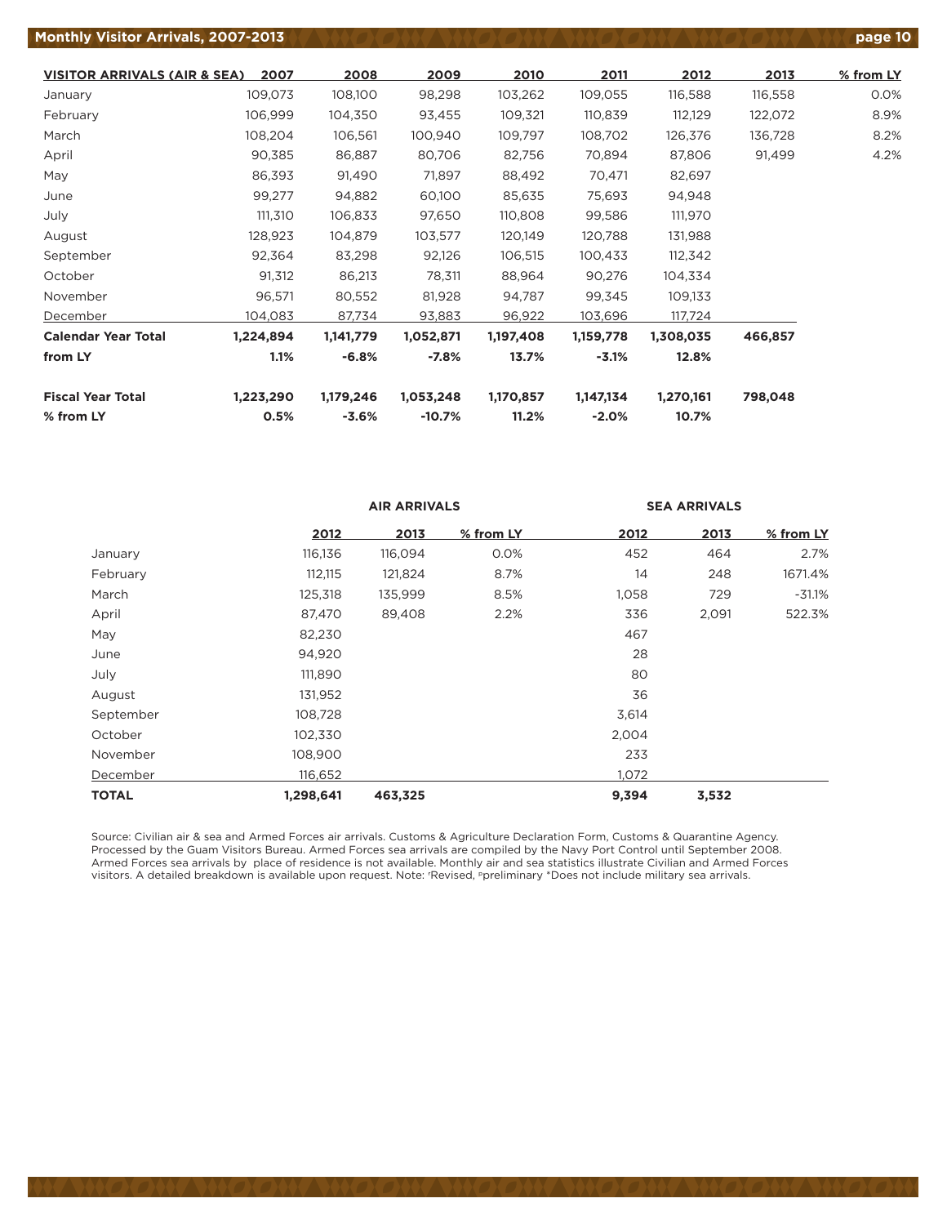#### **Monthly Visitor Arrivals, 2007-2013 poter 10 page 10 page 10 page 10 page 10 page 10 page 10 page 10**

**VISITOR ARRIVALS (AIR & SEA) 2007 2008 2009 2010 2011 2012 2013 % from LY** January 109,073 108,100 98,298 103,262 109,055 116,588 116,558 0.0% February 106,999 104,350 93,455 109,321 110,839 112,129 122,072 8.9% March 108,204 106,561 100,940 109,797 108,702 126,376 136,728 8.2% April 90,385 86,887 80,706 82,756 70,894 87,806 91,499 4.2% May 86,393 91,490 71,897 88,492 70,471 82,697 June 99,277 94,882 60,100 85,635 75,693 94,948 July 111,310 106,833 97,650 110,808 99,586 111,970 August 128,923 104,879 103,577 120,149 120,788 131,988 September 92,364 83,298 92,126 106,515 100,433 112,342 October 91,312 86,213 78,311 88,964 90,276 104,334 November 96,571 80,552 81,928 94,787 99,345 109,133 December 104,083 87,734 93,883 96,922 103,696 117,724 **Calendar Year Total 1,224,894 1,141,779 1,052,871 1,197,408 1,159,778 1,308,035 466,857 from LY 1.1% -6.8% -7.8% 13.7% -3.1% 12.8% Fiscal Year Total 1,223,290 1,179,246 1,053,248 1,170,857 1,147,134 1,270,161 798,048 % from LY 0.5% -3.6% -10.7% 11.2% -2.0% 10.7%**

|              |           | <b>AIR ARRIVALS</b> |           | <b>SEA ARRIVALS</b> |       |           |
|--------------|-----------|---------------------|-----------|---------------------|-------|-----------|
|              | 2012      | 2013                | % from LY | 2012                | 2013  | % from LY |
| January      | 116,136   | 116,094             | 0.0%      | 452                 | 464   | 2.7%      |
| February     | 112,115   | 121,824             | 8.7%      | 14                  | 248   | 1671.4%   |
| March        | 125,318   | 135,999             | 8.5%      | 1,058               | 729   | $-31.1\%$ |
| April        | 87,470    | 89,408              | 2.2%      | 336                 | 2,091 | 522.3%    |
| May          | 82,230    |                     |           | 467                 |       |           |
| June         | 94,920    |                     |           | 28                  |       |           |
| July         | 111,890   |                     |           | 80                  |       |           |
| August       | 131,952   |                     |           | 36                  |       |           |
| September    | 108,728   |                     |           | 3,614               |       |           |
| October      | 102,330   |                     |           | 2,004               |       |           |
| November     | 108,900   |                     |           | 233                 |       |           |
| December     | 116,652   |                     |           | 1,072               |       |           |
| <b>TOTAL</b> | 1,298,641 | 463,325             |           | 9,394               | 3,532 |           |

Source: Civilian air & sea and Armed Forces air arrivals. Customs & Agriculture Declaration Form, Customs & Quarantine Agency. Processed by the Guam Visitors Bureau. Armed Forces sea arrivals are compiled by the Navy Port Control until September 2008. Armed Forces sea arrivals by place of residence is not available. Monthly air and sea statistics illustrate Civilian and Armed Forces visitors. A detailed breakdown is available upon request. Note: r Revised, ppreliminary \*Does not include military sea arrivals.